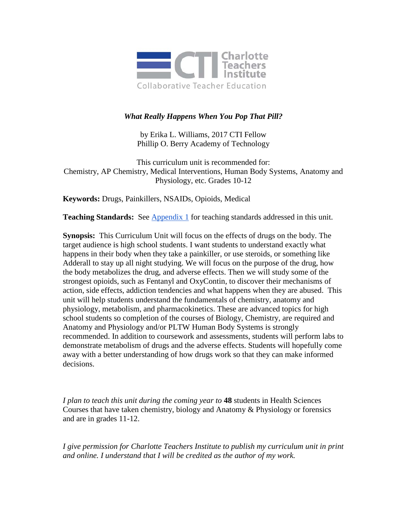

# *What Really Happens When You Pop That Pill?*

by Erika L. Williams, 2017 CTI Fellow Phillip O. Berry Academy of Technology

This curriculum unit is recommended for: Chemistry, AP Chemistry, Medical Interventions, Human Body Systems, Anatomy and Physiology, etc. Grades 10-12

**Keywords:** Drugs, Painkillers, NSAIDs, Opioids, Medical

**Teaching Standards:** See [Appendix 1](#page-11-0) for teaching standards addressed in this unit.

**Synopsis:** This Curriculum Unit will focus on the effects of drugs on the body. The target audience is high school students. I want students to understand exactly what happens in their body when they take a painkiller, or use steroids, or something like Adderall to stay up all night studying. We will focus on the purpose of the drug, how the body metabolizes the drug, and adverse effects. Then we will study some of the strongest opioids, such as Fentanyl and OxyContin, to discover their mechanisms of action, side effects, addiction tendencies and what happens when they are abused. This unit will help students understand the fundamentals of chemistry, anatomy and physiology, metabolism, and pharmacokinetics. These are advanced topics for high school students so completion of the courses of Biology, Chemistry, are required and Anatomy and Physiology and/or PLTW Human Body Systems is strongly recommended. In addition to coursework and assessments, students will perform labs to demonstrate metabolism of drugs and the adverse effects. Students will hopefully come away with a better understanding of how drugs work so that they can make informed decisions.

*I plan to teach this unit during the coming year to* **48** students in Health Sciences Courses that have taken chemistry, biology and Anatomy & Physiology or forensics and are in grades 11-12.

*I give permission for Charlotte Teachers Institute to publish my curriculum unit in print and online. I understand that I will be credited as the author of my work.*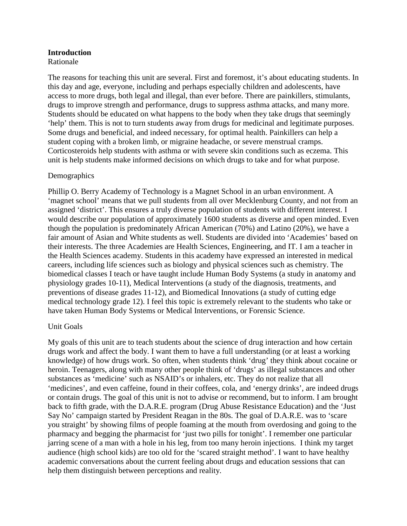## **Introduction**

Rationale

The reasons for teaching this unit are several. First and foremost, it's about educating students. In this day and age, everyone, including and perhaps especially children and adolescents, have access to more drugs, both legal and illegal, than ever before. There are painkillers, stimulants, drugs to improve strength and performance, drugs to suppress asthma attacks, and many more. Students should be educated on what happens to the body when they take drugs that seemingly 'help' them. This is not to turn students away from drugs for medicinal and legitimate purposes. Some drugs and beneficial, and indeed necessary, for optimal health. Painkillers can help a student coping with a broken limb, or migraine headache, or severe menstrual cramps. Corticosteroids help students with asthma or with severe skin conditions such as eczema. This unit is help students make informed decisions on which drugs to take and for what purpose.

## Demographics

Phillip O. Berry Academy of Technology is a Magnet School in an urban environment. A 'magnet school' means that we pull students from all over Mecklenburg County, and not from an assigned 'district'. This ensures a truly diverse population of students with different interest. I would describe our population of approximately 1600 students as diverse and open minded. Even though the population is predominately African American (70%) and Latino (20%), we have a fair amount of Asian and White students as well. Students are divided into 'Academies' based on their interests. The three Academies are Health Sciences, Engineering, and IT. I am a teacher in the Health Sciences academy. Students in this academy have expressed an interested in medical careers, including life sciences such as biology and physical sciences such as chemistry. The biomedical classes I teach or have taught include Human Body Systems (a study in anatomy and physiology grades 10-11), Medical Interventions (a study of the diagnosis, treatments, and preventions of disease grades 11-12), and Biomedical Innovations (a study of cutting edge medical technology grade 12). I feel this topic is extremely relevant to the students who take or have taken Human Body Systems or Medical Interventions, or Forensic Science.

# Unit Goals

My goals of this unit are to teach students about the science of drug interaction and how certain drugs work and affect the body. I want them to have a full understanding (or at least a working knowledge) of how drugs work. So often, when students think 'drug' they think about cocaine or heroin. Teenagers, along with many other people think of 'drugs' as illegal substances and other substances as 'medicine' such as NSAID's or inhalers, etc. They do not realize that all 'medicines', and even caffeine, found in their coffees, cola, and 'energy drinks', are indeed drugs or contain drugs. The goal of this unit is not to advise or recommend, but to inform. I am brought back to fifth grade, with the D.A.R.E. program (Drug Abuse Resistance Education) and the 'Just Say No' campaign started by President Reagan in the 80s. The goal of D.A.R.E. was to 'scare you straight' by showing films of people foaming at the mouth from overdosing and going to the pharmacy and begging the pharmacist for 'just two pills for tonight'. I remember one particular jarring scene of a man with a hole in his leg, from too many heroin injections. I think my target audience (high school kids) are too old for the 'scared straight method'. I want to have healthy academic conversations about the current feeling about drugs and education sessions that can help them distinguish between perceptions and reality.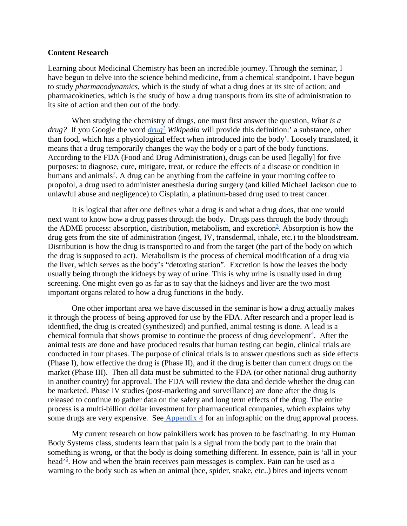#### **Content Research**

Learning about Medicinal Chemistry has been an incredible journey. Through the seminar, I have begun to delve into the science behind medicine, from a chemical standpoint. I have begun to study *pharmacodynamics*, which is the study of what a drug does at its site of action; and pharmacokinetics, which is the study of how a drug transports from its site of administration to its site of action and then out of the body.

When studying the chemistry of drugs, one must first answer the question, *What is a drug?* If you Google the word *[drug](https://en.wikipedia.org/wiki/Drug)[1](https://en.wikipedia.org/wiki/Drug) Wikipedia* will provide this definition:' a substance, other than food, which has a physiological effect when introduced into the body'. Loosely translated, it means that a drug temporarily changes the way the body or a part of the body functions. According to the FDA (Food and Drug Administration), drugs can be used [legally] for five purposes: to diagnose, cure, mitigate, treat, or reduce the effects of a disease or condition in humans and animals<sup>[2](#page-18-0)</sup>. A drug can be anything from the caffeine in your morning coffee to propofol, a drug used to administer anesthesia during surgery (and killed Michael Jackson due to unlawful abuse and negligence) to Cisplatin, a platinum-based drug used to treat cancer.

It is logical that after one defines what a drug *is* and what a drug *does,* that one would next want to know how a drug passes through the body. Drugs pass through the body through the ADME process: absorption, distribution, metabolism, and excretion<sup>3</sup>. Absorption is how the drug gets from the site of administration (ingest, IV, transdermal, inhale, etc.) to the bloodstream. Distribution is how the drug is transported to and from the target (the part of the body on which the drug is supposed to act). Metabolism is the process of chemical modification of a drug via the liver, which serves as the body's "detoxing station". Excretion is how the leaves the body usually being through the kidneys by way of urine. This is why urine is usually used in drug screening. One might even go as far as to say that the kidneys and liver are the two most important organs related to how a drug functions in the body.

One other important area we have discussed in the seminar is how a drug actually makes it through the process of being approved for use by the FDA. After research and a proper lead is identified, the drug is created (synthesized) and purified, animal testing is done. A lead is a chemical formula that shows promise to continue the process of drug development $4$ . After the animal tests are done and have produced results that human testing can begin, clinical trials are conducted in four phases. The purpose of clinical trials is to answer questions such as side effects (Phase I), how effective the drug is (Phase II), and if the drug is better than current drugs on the market (Phase III). Then all data must be submitted to the FDA (or other national drug authority in another country) for approval. The FDA will review the data and decide whether the drug can be marketed. Phase IV studies (post-marketing and surveillance) are done after the drug is released to continue to gather data on the safety and long term effects of the drug. The entire process is a multi-billion dollar investment for pharmaceutical companies, which explains why some drugs are very expensive. See [Appendix 4](#page-13-0) for an infographic on the drug approval process.

My current research on how painkillers work has proven to be fascinating. In my Human Body Systems class, students learn that pain is a signal from the body part to the brain that something is wrong, or that the body is doing something different. In essence, pain is 'all in your head'<sup>5</sup>. How and when the brain receives pain messages is complex. Pain can be used as a warning to the body such as when an animal (bee, spider, snake, etc..) bites and injects venom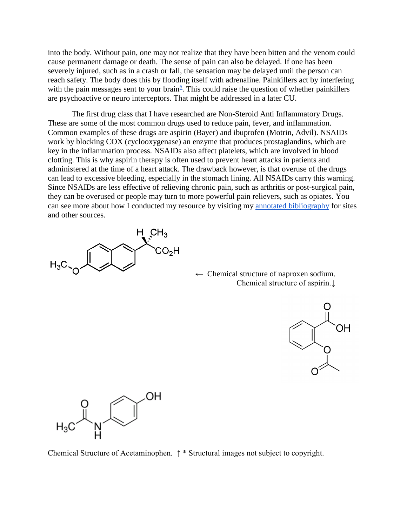into the body. Without pain, one may not realize that they have been bitten and the venom could cause permanent damage or death. The sense of pain can also be delayed. If one has been severely injured, such as in a crash or fall, the sensation may be delayed until the person can reach safety. The body does this by flooding itself with adrenaline. Painkillers act by interfering with the pain messages sent to your brain<sup> $6$ </sup>. This could raise the question of whether painkillers are psychoactive or neuro interceptors. That might be addressed in a later CU.

The first drug class that I have researched are Non-Steroid Anti Inflammatory Drugs. These are some of the most common drugs used to reduce pain, fever, and inflammation. Common examples of these drugs are aspirin (Bayer) and ibuprofen (Motrin, Advil). NSAIDs work by blocking COX (cyclooxygenase) an enzyme that produces prostaglandins, which are key in the inflammation process. NSAIDs also affect platelets, which are involved in blood clotting. This is why aspirin therapy is often used to prevent heart attacks in patients and administered at the time of a heart attack. The drawback however, is that overuse of the drugs can lead to excessive bleeding, especially in the stomach lining. All NSAIDs carry this warning. Since NSAIDs are less effective of relieving chronic pain, such as arthritis or post-surgical pain, they can be overused or people may turn to more powerful pain relievers, such as opiates. You can see more about how I conducted my resource by visiting my [annotated bibliography](#page-16-0) for sites and other sources.



 $\leftarrow$  Chemical structure of naproxen sodium. Chemical structure of aspirin.↓





Chemical Structure of Acetaminophen. ↑ \* Structural images not subject to copyright.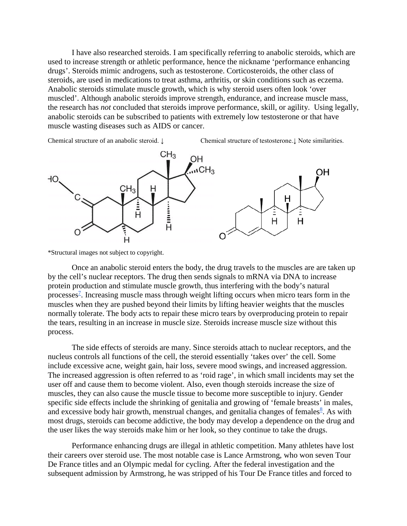I have also researched steroids. I am specifically referring to anabolic steroids, which are used to increase strength or athletic performance, hence the nickname 'performance enhancing drugs'. Steroids mimic androgens, such as testosterone. Corticosteroids, the other class of steroids, are used in medications to treat asthma, arthritis, or skin conditions such as eczema. Anabolic steroids stimulate muscle growth, which is why steroid users often look 'over muscled'. Although anabolic steroids improve strength, endurance, and increase muscle mass, the research has *not* concluded that steroids improve performance, skill, or agility. Using legally, anabolic steroids can be subscribed to patients with extremely low testosterone or that have muscle wasting diseases such as AIDS or cancer.

Chemical structure of an anabolic steroid. ↓ Chemical structure of testosterone.↓ Note similarities.



\*Structural images not subject to copyright.

Once an anabolic steroid enters the body, the drug travels to the muscles are are taken up by the cell's nuclear receptors. The drug then sends signals to mRNA via DNA to increase protein production and stimulate muscle growth, thus interfering with the body's natural processes<sup>2</sup>. Increasing muscle mass through weight lifting occurs when micro tears form in the muscles when they are pushed beyond their limits by lifting heavier weights that the muscles normally tolerate. The body acts to repair these micro tears by overproducing protein to repair the tears, resulting in an increase in muscle size. Steroids increase muscle size without this process.

The side effects of steroids are many. Since steroids attach to nuclear receptors, and the nucleus controls all functions of the cell, the steroid essentially 'takes over' the cell. Some include excessive acne, weight gain, hair loss, severe mood swings, and increased aggression. The increased aggression is often referred to as 'roid rage', in which small incidents may set the user off and cause them to become violent. Also, even though steroids increase the size of muscles, they can also cause the muscle tissue to become more susceptible to injury. Gender specific side effects include the shrinking of genitalia and growing of 'female breasts' in males, and excessive body hair growth, menstrual changes, and genitalia changes of females $\frac{8}{3}$  $\frac{8}{3}$  $\frac{8}{3}$ . As with most drugs, steroids can become addictive, the body may develop a dependence on the drug and the user likes the way steroids make him or her look, so they continue to take the drugs.

Performance enhancing drugs are illegal in athletic competition. Many athletes have lost their careers over steroid use. The most notable case is Lance Armstrong, who won seven Tour De France titles and an Olympic medal for cycling. After the federal investigation and the subsequent admission by Armstrong, he was stripped of his Tour De France titles and forced to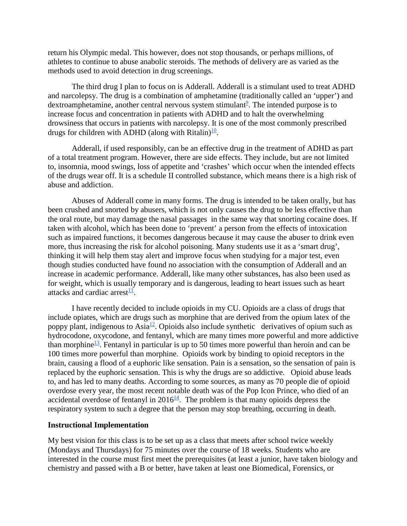return his Olympic medal. This however, does not stop thousands, or perhaps millions, of athletes to continue to abuse anabolic steroids. The methods of delivery are as varied as the methods used to avoid detection in drug screenings.

The third drug I plan to focus on is Adderall. Adderall is a stimulant used to treat ADHD and narcolepsy. The drug is a combination of amphetamine (traditionally called an 'upper') and dextroamphetamine, another central nervous system stimulant<sup>9</sup>. The intended purpose is to increase focus and concentration in patients with ADHD and to halt the overwhelming drowsiness that occurs in patients with narcolepsy. It is one of the most commonly prescribed drugs for children with ADHD (along with Ritalin)<sup>10</sup>.

Adderall, if used responsibly, can be an effective drug in the treatment of ADHD as part of a total treatment program. However, there are side effects. They include, but are not limited to, insomnia, mood swings, loss of appetite and 'crashes' which occur when the intended effects of the drugs wear off. It is a schedule II controlled substance, which means there is a high risk of abuse and addiction.

Abuses of Adderall come in many forms. The drug is intended to be taken orally, but has been crushed and snorted by abusers, which is not only causes the drug to be less effective than the oral route, but may damage the nasal passages in the same way that snorting cocaine does. If taken with alcohol, which has been done to 'prevent' a person from the effects of intoxication such as impaired functions, it becomes dangerous because it may cause the abuser to drink even more, thus increasing the risk for alcohol poisoning. Many students use it as a 'smart drug', thinking it will help them stay alert and improve focus when studying for a major test, even though studies conducted have found no association with the consumption of Adderall and an increase in academic performance. Adderall, like many other substances, has also been used as for weight, which is usually temporary and is dangerous, leading to heart issues such as heart attacks and cardiac arrest $\frac{11}{1}$ .

I have recently decided to include opioids in my CU. Opioids are a class of drugs that include opiates, which are drugs such as morphine that are derived from the opium latex of the poppy plant, indigenous to Asia<sup>12</sup>. Opioids also include synthetic derivatives of opium such as hydrocodone, oxycodone, and fentanyl, which are many times more powerful and more addictive than morphine<sup>13</sup>. Fentanyl in particular is up to 50 times more powerful than heroin and can be 100 times more powerful than morphine. Opioids work by binding to opioid receptors in the brain, causing a flood of a euphoric like sensation. Pain is a sensation, so the sensation of pain is replaced by the euphoric sensation. This is why the drugs are so addictive. Opioid abuse leads to, and has led to many deaths. According to some sources, as many as 70 people die of opioid overdose every year, the most recent notable death was of the Pop Icon Prince, who died of an accidental overdose of fentanyl in  $2016<sup>14</sup>$ . The problem is that many opioids depress the respiratory system to such a degree that the person may stop breathing, occurring in death.

#### **Instructional Implementation**

My best vision for this class is to be set up as a class that meets after school twice weekly (Mondays and Thursdays) for 75 minutes over the course of 18 weeks. Students who are interested in the course must first meet the prerequisites (at least a junior, have taken biology and chemistry and passed with a B or better, have taken at least one Biomedical, Forensics, or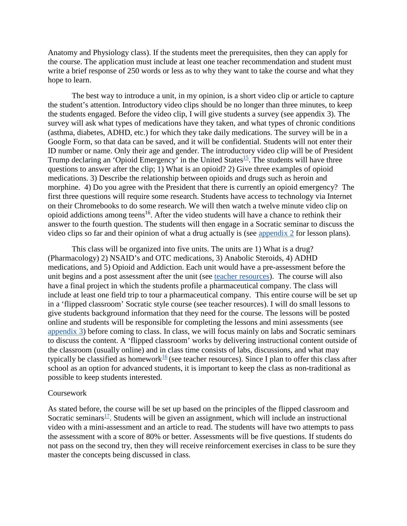Anatomy and Physiology class). If the students meet the prerequisites, then they can apply for the course. The application must include at least one teacher recommendation and student must write a brief response of 250 words or less as to why they want to take the course and what they hope to learn.

The best way to introduce a unit, in my opinion, is a short video clip or article to capture the student's attention. Introductory video clips should be no longer than three minutes, to keep the students engaged. Before the video clip, I will give students a survey (see appendix 3). The survey will ask what types of medications have they taken, and what types of chronic conditions (asthma, diabetes, ADHD, etc.) for which they take daily medications. The survey will be in a Google Form, so that data can be saved, and it will be confidential. Students will not enter their ID number or name. Only their age and gender. The introductory video clip will be of President Trump declaring an 'Opioid Emergency' in the United States<sup>15</sup>. The students will have three questions to answer after the clip; 1) What is an opioid? 2) Give three examples of opioid medications. 3) Describe the relationship between opioids and drugs such as heroin and morphine. 4) Do you agree with the President that there is currently an opioid emergency? The first three questions will require some research. Students have access to technology via Internet on their Chromebooks to do some research. We will then watch a twelve minute video clip on opioid addictions among teens<sup>16</sup>. After the video students will have a chance to rethink their answer to the fourth question. The students will then engage in a Socratic seminar to discuss the video clips so far and their opinion of what a drug actually is (see [appendix 2](#page-11-1) for lesson plans).

This class will be organized into five units. The units are 1) What is a drug? (Pharmacology) 2) NSAID's and OTC medications, 3) Anabolic Steroids, 4) ADHD medications, and 5) Opioid and Addiction. Each unit would have a pre-assessment before the unit begins and a post assessment after the unit (see [teacher resources\)](#page-13-1). The course will also have a final project in which the students profile a pharmaceutical company. The class will include at least one field trip to tour a pharmaceutical company. This entire course will be set up in a 'flipped classroom' Socratic style course (see teacher resources). I will do small lessons to give students background information that they need for the course. The lessons will be posted online and students will be responsible for completing the lessons and mini assessments (see [appendix 3\)](#page-12-0) before coming to class. In class, we will focus mainly on labs and Socratic seminars to discuss the content. A 'flipped classroom' works by delivering instructional content outside of the classroom (usually online) and in class time consists of labs, discussions, and what may typically be classified as homework<sup>[16](#page-18-0)</sup> (see teacher resources). Since I plan to offer this class after school as an option for advanced students, it is important to keep the class as non-traditional as possible to keep students interested.

#### Coursework

As stated before, the course will be set up based on the principles of the flipped classroom and Socratic seminars $\frac{17}{17}$ . Students will be given an assignment, which will include an instructional video with a mini-assessment and an article to read. The students will have two attempts to pass the assessment with a score of 80% or better. Assessments will be five questions. If students do not pass on the second try, then they will receive reinforcement exercises in class to be sure they master the concepts being discussed in class.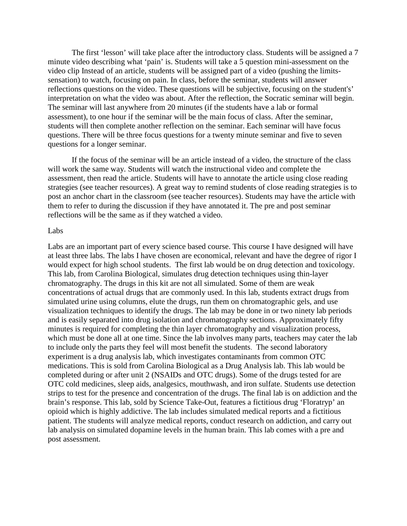The first 'lesson' will take place after the introductory class. Students will be assigned a 7 minute video describing what 'pain' is. Students will take a 5 question mini-assessment on the video clip Instead of an article, students will be assigned part of a video (pushing the limitssensation) to watch, focusing on pain. In class, before the seminar, students will answer reflections questions on the video. These questions will be subjective, focusing on the student's' interpretation on what the video was about. After the reflection, the Socratic seminar will begin. The seminar will last anywhere from 20 minutes (if the students have a lab or formal assessment), to one hour if the seminar will be the main focus of class. After the seminar, students will then complete another reflection on the seminar. Each seminar will have focus questions. There will be three focus questions for a twenty minute seminar and five to seven questions for a longer seminar.

If the focus of the seminar will be an article instead of a video, the structure of the class will work the same way. Students will watch the instructional video and complete the assessment, then read the article. Students will have to annotate the article using close reading strategies (see teacher resources). A great way to remind students of close reading strategies is to post an anchor chart in the classroom (see teacher resources). Students may have the article with them to refer to during the discussion if they have annotated it. The pre and post seminar reflections will be the same as if they watched a video.

#### Labs

Labs are an important part of every science based course. This course I have designed will have at least three labs. The labs I have chosen are economical, relevant and have the degree of rigor I would expect for high school students. The first lab would be on drug detection and toxicology. This lab, from Carolina Biological, simulates drug detection techniques using thin-layer chromatography. The drugs in this kit are not all simulated. Some of them are weak concentrations of actual drugs that are commonly used. In this lab, students extract drugs from simulated urine using columns, elute the drugs, run them on chromatographic gels, and use visualization techniques to identify the drugs. The lab may be done in or two ninety lab periods and is easily separated into drug isolation and chromatography sections. Approximately fifty minutes is required for completing the thin layer chromatography and visualization process, which must be done all at one time. Since the lab involves many parts, teachers may cater the lab to include only the parts they feel will most benefit the students. The second laboratory experiment is a drug analysis lab, which investigates contaminants from common OTC medications. This is sold from Carolina Biological as a Drug Analysis lab. This lab would be completed during or after unit 2 (NSAIDs and OTC drugs). Some of the drugs tested for are OTC cold medicines, sleep aids, analgesics, mouthwash, and iron sulfate. Students use detection strips to test for the presence and concentration of the drugs. The final lab is on addiction and the brain's response. This lab, sold by Science Take-Out, features a fictitious drug 'Floratryp' an opioid which is highly addictive. The lab includes simulated medical reports and a fictitious patient. The students will analyze medical reports, conduct research on addiction, and carry out lab analysis on simulated dopamine levels in the human brain. This lab comes with a pre and post assessment.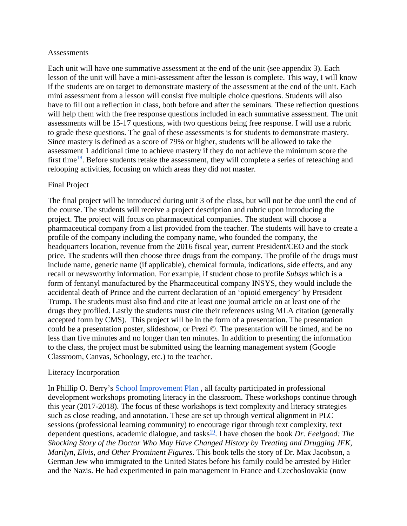#### **Assessments**

Each unit will have one summative assessment at the end of the unit (see appendix 3). Each lesson of the unit will have a mini-assessment after the lesson is complete. This way, I will know if the students are on target to demonstrate mastery of the assessment at the end of the unit. Each mini assessment from a lesson will consist five multiple choice questions. Students will also have to fill out a reflection in class, both before and after the seminars. These reflection questions will help them with the free response questions included in each summative assessment. The unit assessments will be 15-17 questions, with two questions being free response. I will use a rubric to grade these questions. The goal of these assessments is for students to demonstrate mastery. Since mastery is defined as a score of 79% or higher, students will be allowed to take the assessment 1 additional time to achieve mastery if they do not achieve the minimum score the first time<sup>18</sup>. Before students retake the assessment, they will complete a series of reteaching and relooping activities, focusing on which areas they did not master.

## Final Project

The final project will be introduced during unit 3 of the class, but will not be due until the end of the course. The students will receive a project description and rubric upon introducing the project. The project will focus on pharmaceutical companies. The student will choose a pharmaceutical company from a list provided from the teacher. The students will have to create a profile of the company including the company name, who founded the company, the headquarters location, revenue from the 2016 fiscal year, current President/CEO and the stock price. The students will then choose three drugs from the company. The profile of the drugs must include name, generic name (if applicable), chemical formula, indications, side effects, and any recall or newsworthy information. For example, if student chose to profile *Subsys* which is a form of fentanyl manufactured by the Pharmaceutical company INSYS, they would include the accidental death of Prince and the current declaration of an 'opioid emergency' by President Trump. The students must also find and cite at least one journal article on at least one of the drugs they profiled. Lastly the students must cite their references using MLA citation (generally accepted form by CMS). This project will be in the form of a presentation. The presentation could be a presentation poster, slideshow, or Prezi ©. The presentation will be timed, and be no less than five minutes and no longer than ten minutes. In addition to presenting the information to the class, the project must be submitted using the learning management system (Google Classroom, Canvas, Schoology, etc.) to the teacher.

## Literacy Incorporation

In Phillip O. Berry's [School Improvement Plan](http://schools.cms.k12.nc.us/phillipoberryHS/Documents/BerryAcademy%20School%20Leadership%20Plan%2016-17.pdf) , all faculty participated in professional development workshops promoting literacy in the classroom. These workshops continue through this year (2017-2018). The focus of these workshops is text complexity and literacy strategies such as close reading, and annotation. These are set up through vertical alignment in PLC sessions (professional learning community) to encourage rigor through text complexity, text dependent questions, academic dialogue, and tasks<sup>19</sup>. I have chosen the book *Dr. Feelgood: The Shocking Story of the Doctor Who May Have Changed History by Treating and Drugging JFK, Marilyn, Elvis, and Other Prominent Figures*. This book tells the story of Dr. Max Jacobson, a German Jew who immigrated to the United States before his family could be arrested by Hitler and the Nazis. He had experimented in pain management in France and Czechoslovakia (now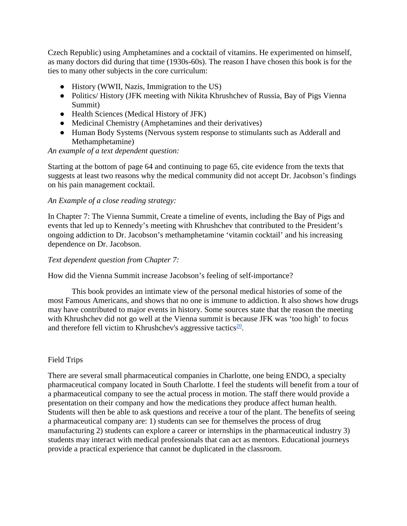Czech Republic) using Amphetamines and a cocktail of vitamins. He experimented on himself, as many doctors did during that time (1930s-60s). The reason I have chosen this book is for the ties to many other subjects in the core curriculum:

- History (WWII, Nazis, Immigration to the US)
- Politics/ History (JFK meeting with Nikita Khrushchev of Russia, Bay of Pigs Vienna Summit)
- Health Sciences (Medical History of JFK)
- Medicinal Chemistry (Amphetamines and their derivatives)
- Human Body Systems (Nervous system response to stimulants such as Adderall and Methamphetamine)

#### *An example of a text dependent question:*

Starting at the bottom of page 64 and continuing to page 65, cite evidence from the texts that suggests at least two reasons why the medical community did not accept Dr. Jacobson's findings on his pain management cocktail.

#### *An Example of a close reading strategy:*

In Chapter 7: The Vienna Summit, Create a timeline of events, including the Bay of Pigs and events that led up to Kennedy's meeting with Khrushchev that contributed to the President's ongoing addiction to Dr. Jacobson's methamphetamine 'vitamin cocktail' and his increasing dependence on Dr. Jacobson.

#### *Text dependent question from Chapter 7:*

How did the Vienna Summit increase Jacobson's feeling of self-importance?

This book provides an intimate view of the personal medical histories of some of the most Famous Americans, and shows that no one is immune to addiction. It also shows how drugs may have contributed to major events in history. Some sources state that the reason the meeting with Khrushchev did not go well at the Vienna summit is because JFK was 'too high' to focus and therefore fell victim to Khrushchev's aggressive tactics $\frac{20}{2}$ .

## Field Trips

There are several small pharmaceutical companies in Charlotte, one being ENDO, a specialty pharmaceutical company located in South Charlotte. I feel the students will benefit from a tour of a pharmaceutical company to see the actual process in motion. The staff there would provide a presentation on their company and how the medications they produce affect human health. Students will then be able to ask questions and receive a tour of the plant. The benefits of seeing a pharmaceutical company are: 1) students can see for themselves the process of drug manufacturing 2) students can explore a career or internships in the pharmaceutical industry 3) students may interact with medical professionals that can act as mentors. Educational journeys provide a practical experience that cannot be duplicated in the classroom.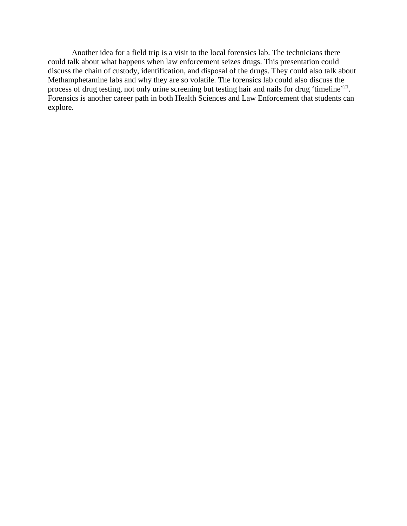Another idea for a field trip is a visit to the local forensics lab. The technicians there could talk about what happens when law enforcement seizes drugs. This presentation could discuss the chain of custody, identification, and disposal of the drugs. They could also talk about Methamphetamine labs and why they are so volatile. The forensics lab could also discuss the process of drug testing, not only urine screening but testing hair and nails for drug 'timeline'<sup>21</sup>. Forensics is another career path in both Health Sciences and Law Enforcement that students can explore.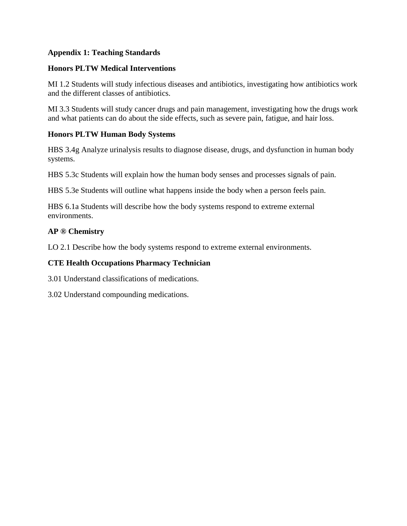# <span id="page-11-0"></span>**Appendix 1: Teaching Standards**

## **Honors PLTW Medical Interventions**

MI 1.2 Students will study infectious diseases and antibiotics, investigating how antibiotics work and the different classes of antibiotics.

MI 3.3 Students will study cancer drugs and pain management, investigating how the drugs work and what patients can do about the side effects, such as severe pain, fatigue, and hair loss.

## **Honors PLTW Human Body Systems**

HBS 3.4g Analyze urinalysis results to diagnose disease, drugs, and dysfunction in human body systems.

HBS 5.3c Students will explain how the human body senses and processes signals of pain.

HBS 5.3e Students will outline what happens inside the body when a person feels pain.

HBS 6.1a Students will describe how the body systems respond to extreme external environments.

## **AP ® Chemistry**

LO 2.1 Describe how the body systems respond to extreme external environments.

## **CTE Health Occupations Pharmacy Technician**

3.01 Understand classifications of medications.

<span id="page-11-1"></span>3.02 Understand compounding medications.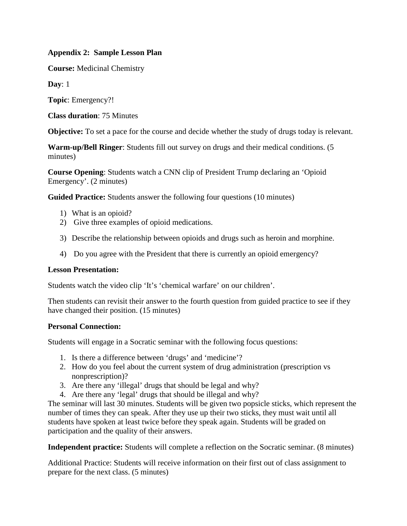# **Appendix 2: Sample Lesson Plan**

**Course:** Medicinal Chemistry

**Day**: 1

**Topic**: Emergency?!

**Class duration**: 75 Minutes

**Objective:** To set a pace for the course and decide whether the study of drugs today is relevant.

**Warm-up/Bell Ringer**: Students fill out survey on drugs and their medical conditions. (5 minutes)

**Course Opening**: Students watch a CNN clip of President Trump declaring an 'Opioid Emergency'. (2 minutes)

**Guided Practice:** Students answer the following four questions (10 minutes)

- 1) What is an opioid?
- 2) Give three examples of opioid medications.
- 3) Describe the relationship between opioids and drugs such as heroin and morphine.
- 4) Do you agree with the President that there is currently an opioid emergency?

## **Lesson Presentation:**

Students watch the video clip 'It's 'chemical warfare' on our children'.

Then students can revisit their answer to the fourth question from guided practice to see if they have changed their position. (15 minutes)

## **Personal Connection:**

Students will engage in a Socratic seminar with the following focus questions:

- 1. Is there a difference between 'drugs' and 'medicine'?
- 2. How do you feel about the current system of drug administration (prescription vs nonprescription)?
- 3. Are there any 'illegal' drugs that should be legal and why?
- 4. Are there any 'legal' drugs that should be illegal and why?

The seminar will last 30 minutes. Students will be given two popsicle sticks, which represent the number of times they can speak. After they use up their two sticks, they must wait until all students have spoken at least twice before they speak again. Students will be graded on participation and the quality of their answers.

**Independent practice:** Students will complete a reflection on the Socratic seminar. (8 minutes)

<span id="page-12-0"></span>Additional Practice: Students will receive information on their first out of class assignment to prepare for the next class. (5 minutes)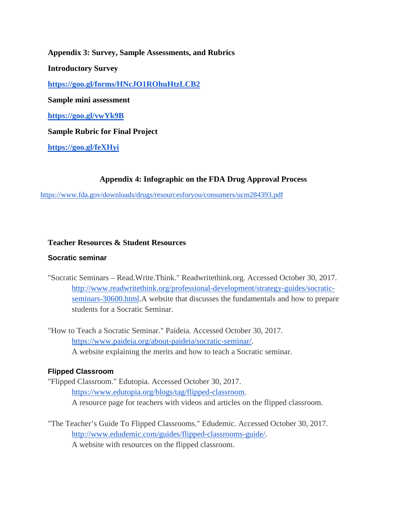**Appendix 3: Survey, Sample Assessments, and Rubrics Introductory Survey <https://goo.gl/forms/HNcJO1ROhuHtzLCB2> Sample mini assessment <https://goo.gl/vwYk9B> Sample Rubric for Final Project**

**<https://goo.gl/feXHyi>**

## **Appendix 4: Infographic on the FDA Drug Approval Process**

<span id="page-13-0"></span><https://www.fda.gov/downloads/drugs/resourcesforyou/consumers/ucm284393.pdf>

## <span id="page-13-1"></span>**Teacher Resources & Student Resources**

#### **Socratic seminar**

- "Socratic Seminars Read.Write.Think." Readwritethink.org. Accessed October 30, 2017. [http://www.readwritethink.org/professional-development/strategy-guides/socratic](http://www.readwritethink.org/professional-development/strategy-guides/socratic-seminars-30600.html)[seminars-30600.html.](http://www.readwritethink.org/professional-development/strategy-guides/socratic-seminars-30600.html)A website that discusses the fundamentals and how to prepare students for a Socratic Seminar.
- "How to Teach a Socratic Seminar." Paideia. Accessed October 30, 2017. [https://www.paideia.org/about-paideia/socratic-seminar/.](https://www.paideia.org/about-paideia/socratic-seminar/) A website explaining the merits and how to teach a Socratic seminar.

## **Flipped Classroom**

"Flipped Classroom." Edutopia. Accessed October 30, 2017. [https://www.edutopia.org/blogs/tag/flipped-classroom.](https://www.edutopia.org/blogs/tag/flipped-classroom) A resource page for teachers with videos and articles on the flipped classroom.

"The Teacher's Guide To Flipped Classrooms." Edudemic. Accessed October 30, 2017. [http://www.edudemic.com/guides/flipped-classrooms-guide/.](http://www.edudemic.com/guides/flipped-classrooms-guide/) A website with resources on the flipped classroom.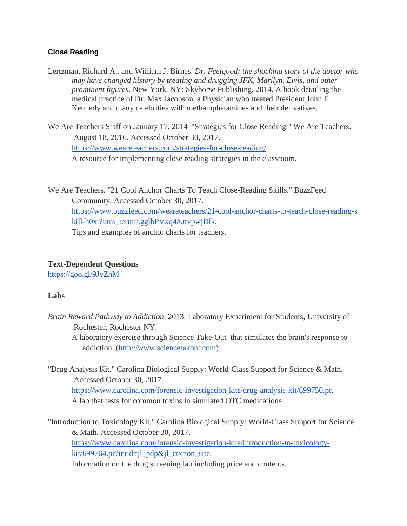# **Close Reading**

Lertzman, Richard A., and William J. Birnes. *Dr. Feelgood: the shocking story of the doctor who may have changed history by treating and drugging JFK, Marilyn, Elvis, and other prominent figures*. New York, NY: Skyhorse Publishing, 2014. A book detailing the medical practice of Dr. Max Jacobson, a Physician who treated President John F. Kennedy and many celebrities with methamphetamines and their derivatives.

We Are Teachers Staff on January 17, 2014 "Strategies for Close Reading." We Are Teachers. August 18, 2016. Accessed October 30, 2017. [https://www.weareteachers.com/strategies-for-close-reading/.](https://www.weareteachers.com/strategies-for-close-reading/) A resource for implementing close reading strategies in the classroom.

We Are Teachers. "21 Cool Anchor Charts To Teach Close-Reading Skills." BuzzFeed Community. Accessed October 30, 2017. [https://www.buzzfeed.com/weareteachers/21-cool-anchor-charts-to-teach-close-reading-s](https://www.buzzfeed.com/weareteachers/21-cool-anchor-charts-to-teach-close-reading-skill-h0xt?utm_term=.gglbPVxq4#.ttvpwjDlk) [kill-h0xt?utm\\_term=.gglbPVxq4#.ttvpwjDlk.](https://www.buzzfeed.com/weareteachers/21-cool-anchor-charts-to-teach-close-reading-skill-h0xt?utm_term=.gglbPVxq4#.ttvpwjDlk) Tips and examples of anchor charts for teachers.

# **Text-Dependent Questions**

<https://goo.gl/9JyZhM>

# **Labs**

*Brain Reward Pathway to Addiction*. 2013. Laboratory Experiment for Students, University of Rochester, Rochester NY.

A laboratory exercise through Science Take-Out that simulates the brain's response to addiction. [\(http://www.sciencetakout.com\)](http://www.sciencetakout.com/)

"Drug Analysis Kit." Carolina Biological Supply: World-Class Support for Science & Math. Accessed October 30, 2017. [https://www.carolina.com/forensic-investigation-kits/drug-analysis-kit/699750.pr.](https://www.carolina.com/forensic-investigation-kits/drug-analysis-kit/699750.pr) A lab that tests for common toxins in simulated OTC medications

"Introduction to Toxicology Kit." Carolina Biological Supply: World-Class Support for Science & Math. Accessed October 30, 2017. [https://www.carolina.com/forensic-investigation-kits/introduction-to-toxicology](https://www.carolina.com/forensic-investigation-kits/introduction-to-toxicology-kit/699764.pr?intid=jl_pdp&jl_ctx=on_site) $kit/699764.pr?intid=jl_pdp&jl_ctx=on\_site.$ Information on the drug screening lab including price and contents.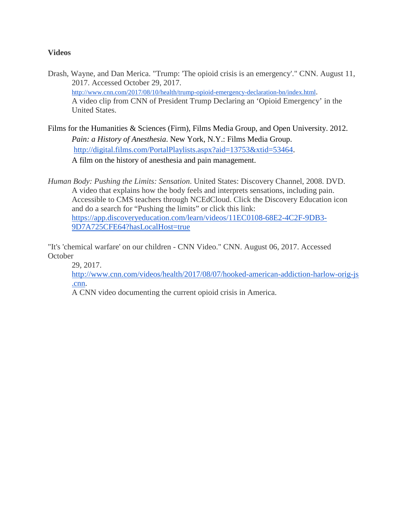## **Videos**

- Drash, Wayne, and Dan Merica. "Trump: 'The opioid crisis is an emergency'." CNN. August 11, 2017. Accessed October 29, 2017. [http://www.cnn.com/2017/08/10/health/trump-opioid-emergency-declaration-bn/index.html.](http://www.cnn.com/2017/08/10/health/trump-opioid-emergency-declaration-bn/index.html) A video clip from CNN of President Trump Declaring an 'Opioid Emergency' in the United States.
- Films for the Humanities & Sciences (Firm), Films Media Group, and Open University. 2012. *Pain: a History of Anesthesia*. New York, N.Y.: Films Media Group. [http://digital.films.com/PortalPlaylists.aspx?aid=13753&xtid=53464.](http://digital.films.com/PortalPlaylists.aspx?aid=13753&xtid=53464) A film on the history of anesthesia and pain management.

*Human Body: Pushing the Limits: Sensation*. United States: Discovery Channel, 2008. DVD. A video that explains how the body feels and interprets sensations, including pain. Accessible to CMS teachers through NCEdCloud. Click the Discovery Education icon and do a search for "Pushing the limits" or click this link: [https://app.discoveryeducation.com/learn/videos/11EC0108-68E2-4C2F-9DB3-](https://app.discoveryeducation.com/learn/videos/11EC0108-68E2-4C2F-9DB3-9D7A725CFE64?hasLocalHost=true) [9D7A725CFE64?hasLocalHost=true](https://app.discoveryeducation.com/learn/videos/11EC0108-68E2-4C2F-9DB3-9D7A725CFE64?hasLocalHost=true)

"It's 'chemical warfare' on our children - CNN Video." CNN. August 06, 2017. Accessed **October** 

29, 2017.

[http://www.cnn.com/videos/health/2017/08/07/hooked-american-addiction-harlow-orig-js](http://www.cnn.com/videos/health/2017/08/07/hooked-american-addiction-harlow-orig-js.cnn) [.cnn.](http://www.cnn.com/videos/health/2017/08/07/hooked-american-addiction-harlow-orig-js.cnn)

A CNN video documenting the current opioid crisis in America.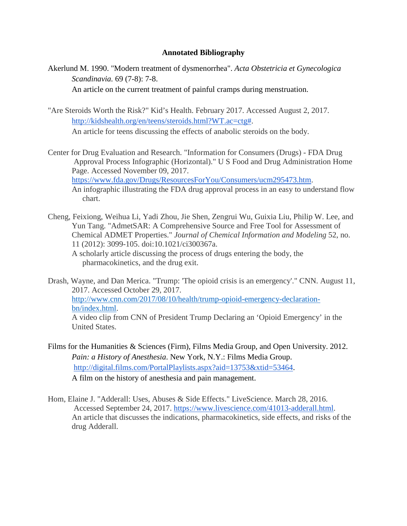#### **Annotated Bibliography**

<span id="page-16-0"></span>Akerlund M. 1990. "Modern treatment of dysmenorrhea". *Acta Obstetricia et Gynecologica Scandinavia.* 69 (7-8): 7-8.

An article on the current treatment of painful cramps during menstruation.

- "Are Steroids Worth the Risk?" Kid's Health. February 2017. Accessed August 2, 2017. [http://kidshealth.org/en/teens/steroids.html?WT.ac=ctg#.](http://kidshealth.org/en/teens/steroids.html?WT.ac=ctg) An article for teens discussing the effects of anabolic steroids on the body.
- Center for Drug Evaluation and Research. "Information for Consumers (Drugs) FDA Drug Approval Process Infographic (Horizontal)." U S Food and Drug Administration Home Page. Accessed November 09, 2017. [https://www.fda.gov/Drugs/ResourcesForYou/Consumers/ucm295473.htm.](https://www.fda.gov/Drugs/ResourcesForYou/Consumers/ucm295473.htm) An infographic illustrating the FDA drug approval process in an easy to understand flow chart.
- Cheng, Feixiong, Weihua Li, Yadi Zhou, Jie Shen, Zengrui Wu, Guixia Liu, Philip W. Lee, and Yun Tang. "AdmetSAR: A Comprehensive Source and Free Tool for Assessment of Chemical ADMET Properties." *Journal of Chemical Information and Modeling* 52, no. 11 (2012): 3099-105. doi:10.1021/ci300367a.

A scholarly article discussing the process of drugs entering the body, the pharmacokinetics, and the drug exit.

Drash, Wayne, and Dan Merica. "Trump: 'The opioid crisis is an emergency'." CNN. August 11, 2017. Accessed October 29, 2017. [http://www.cnn.com/2017/08/10/health/trump-opioid-emergency-declaration](http://www.cnn.com/2017/08/10/health/trump-opioid-emergency-declaration-bn/index.html)[bn/index.html.](http://www.cnn.com/2017/08/10/health/trump-opioid-emergency-declaration-bn/index.html) A video clip from CNN of President Trump Declaring an 'Opioid Emergency' in the United States.

- Films for the Humanities & Sciences (Firm), Films Media Group, and Open University. 2012. *Pain: a History of Anesthesia*. New York, N.Y.: Films Media Group. [http://digital.films.com/PortalPlaylists.aspx?aid=13753&xtid=53464.](http://digital.films.com/PortalPlaylists.aspx?aid=13753&xtid=53464) A film on the history of anesthesia and pain management.
- Hom, Elaine J. "Adderall: Uses, Abuses & Side Effects." LiveScience. March 28, 2016. Accessed September 24, 2017. [https://www.livescience.com/41013-adderall.html.](https://www.livescience.com/41013-adderall.html) An article that discusses the indications, pharmacokinetics, side effects, and risks of the drug Adderall.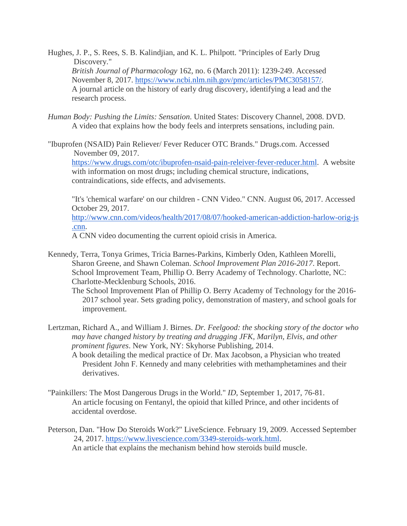- Hughes, J. P., S. Rees, S. B. Kalindjian, and K. L. Philpott. "Principles of Early Drug Discovery." *British Journal of Pharmacology* 162, no. 6 (March 2011): 1239-249. Accessed November 8, 2017. [https://www.ncbi.nlm.nih.gov/pmc/articles/PMC3058157/.](https://www.ncbi.nlm.nih.gov/pmc/articles/PMC3058157/) A journal article on the history of early drug discovery, identifying a lead and the research process.
- *Human Body: Pushing the Limits: Sensation*. United States: Discovery Channel, 2008. DVD. A video that explains how the body feels and interprets sensations, including pain.
- "Ibuprofen (NSAID) Pain Reliever/ Fever Reducer OTC Brands." Drugs.com. Accessed November 09, 2017.

[https://www.drugs.com/otc/ibuprofen-nsaid-pain-releiver-fever-reducer.html.](https://www.drugs.com/otc/ibuprofen-nsaid-pain-releiver-fever-reducer.html) A website with information on most drugs; including chemical structure, indications, contraindications, side effects, and advisements.

"It's 'chemical warfare' on our children - CNN Video." CNN. August 06, 2017. Accessed October 29, 2017.

[http://www.cnn.com/videos/health/2017/08/07/hooked-american-addiction-harlow-orig-js](http://www.cnn.com/videos/health/2017/08/07/hooked-american-addiction-harlow-orig-js.cnn) [.cnn.](http://www.cnn.com/videos/health/2017/08/07/hooked-american-addiction-harlow-orig-js.cnn)

A CNN video documenting the current opioid crisis in America.

Kennedy, Terra, Tonya Grimes, Tricia Barnes-Parkins, Kimberly Oden, Kathleen Morelli, Sharon Greene, and Shawn Coleman. *School Improvement Plan 2016-2017*. Report. School Improvement Team, Phillip O. Berry Academy of Technology. Charlotte, NC: Charlotte-Mecklenburg Schools, 2016.

The School Improvement Plan of Phillip O. Berry Academy of Technology for the 2016- 2017 school year. Sets grading policy, demonstration of mastery, and school goals for improvement.

- Lertzman, Richard A., and William J. Birnes. *Dr. Feelgood: the shocking story of the doctor who may have changed history by treating and drugging JFK, Marilyn, Elvis, and other prominent figures*. New York, NY: Skyhorse Publishing, 2014.
	- A book detailing the medical practice of Dr. Max Jacobson, a Physician who treated President John F. Kennedy and many celebrities with methamphetamines and their derivatives.
- "Painkillers: The Most Dangerous Drugs in the World." *ID*, September 1, 2017, 76-81. An article focusing on Fentanyl, the opioid that killed Prince, and other incidents of accidental overdose.
- Peterson, Dan. "How Do Steroids Work?" LiveScience. February 19, 2009. Accessed September 24, 2017. [https://www.livescience.com/3349-steroids-work.html.](https://www.livescience.com/3349-steroids-work.html) An article that explains the mechanism behind how steroids build muscle.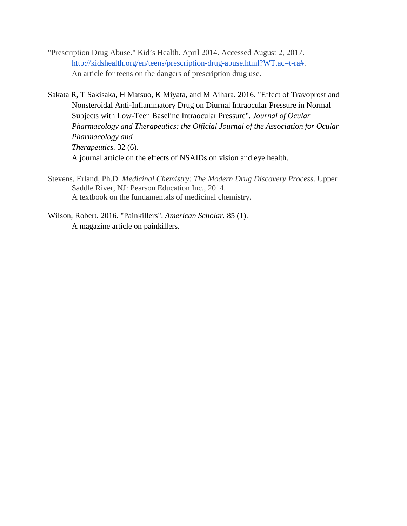- "Prescription Drug Abuse." Kid's Health. April 2014. Accessed August 2, 2017. [http://kidshealth.org/en/teens/prescription-drug-abuse.html?WT.ac=t-ra#.](http://kidshealth.org/en/teens/prescription-drug-abuse.html?WT.ac=t-ra) An article for teens on the dangers of prescription drug use.
- Sakata R, T Sakisaka, H Matsuo, K Miyata, and M Aihara. 2016. "Effect of Travoprost and Nonsteroidal Anti-Inflammatory Drug on Diurnal Intraocular Pressure in Normal Subjects with Low-Teen Baseline Intraocular Pressure". *Journal of Ocular Pharmacology and Therapeutics: the Official Journal of the Association for Ocular Pharmacology and Therapeutics.* 32 (6). A journal article on the effects of NSAIDs on vision and eye health.
- Stevens, Erland, Ph.D. *Medicinal Chemistry: The Modern Drug Discovery Process*. Upper Saddle River, NJ: Pearson Education Inc., 2014. A textbook on the fundamentals of medicinal chemistry.
- <span id="page-18-0"></span>Wilson, Robert. 2016. "Painkillers". *American Scholar.* 85 (1). A magazine article on painkillers.